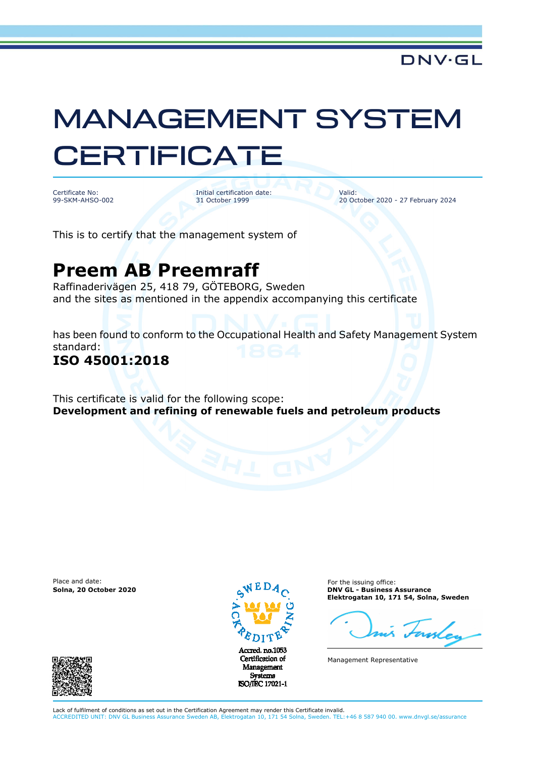# MANAGEMENT SYSTEM **CERTIFICATE**

Certificate No: 99-SKM-AHSO-002 Initial certification date: 31 October 1999

Valid: 20 October 2020 - 27 February 2024

This is to certify that the management system of

## **Preem AB Preemraff**

Raffinaderivägen 25, 418 79, GÖTEBORG, Sweden and the sites as mentioned in the appendix accompanying this certificate

has been found to conform to the Occupational Health and Safety Management System standard:

#### **ISO 45001:2018**

This certificate is valid for the following scope: **Development and refining of renewable fuels and petroleum products**

Place and date:



Certification of Management Systems ISO/IEC 17021-1

For the issuing office: **Solna, 20 October 2020 DNV GL - Business Assurance Elektrogatan 10, 171 54, Solna, Sweden** 

Management Representative



Lack of fulfilment of conditions as set out in the Certification Agreement may render this Certificate invalid. ACCREDITED UNIT: DNV GL Business Assurance Sweden AB, Elektrogatan 10, 171 54 Solna, Sweden. TEL:+46 8 587 940 00. www.dnvgl.se/assurance